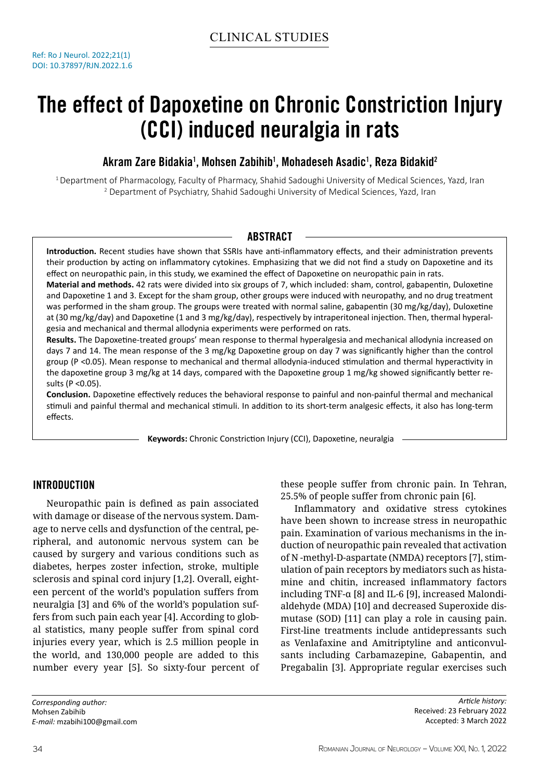# The effect of Dapoxetine on Chronic Constriction Injury (CCI) induced neuralgia in rats

# Akram Zare Bidakia<sup>1</sup>, Mohsen Zabihib<sup>1</sup>, Mohadeseh Asadic<sup>1</sup>, Reza Bidakid<sup>2</sup>

<sup>1</sup> Department of Pharmacology, Faculty of Pharmacy, Shahid Sadoughi University of Medical Sciences, Yazd, Iran 2 Department of Psychiatry, Shahid Sadoughi University of Medical Sciences, Yazd, Iran

## **ABSTRACT**

**Introduction.** Recent studies have shown that SSRIs have anti-inflammatory effects, and their administration prevents their production by acting on inflammatory cytokines. Emphasizing that we did not find a study on Dapoxetine and its effect on neuropathic pain, in this study, we examined the effect of Dapoxetine on neuropathic pain in rats.

**Material and methods.** 42 rats were divided into six groups of 7, which included: sham, control, gabapentin, Duloxetine and Dapoxetine 1 and 3. Except for the sham group, other groups were induced with neuropathy, and no drug treatment was performed in the sham group. The groups were treated with normal saline, gabapentin (30 mg/kg/day), Duloxetine at (30 mg/kg/day) and Dapoxetine (1 and 3 mg/kg/day), respectively by intraperitoneal injection. Then, thermal hyperalgesia and mechanical and thermal allodynia experiments were performed on rats.

**Results.** The Dapoxetine-treated groups' mean response to thermal hyperalgesia and mechanical allodynia increased on days 7 and 14. The mean response of the 3 mg/kg Dapoxetine group on day 7 was significantly higher than the control group (P <0.05). Mean response to mechanical and thermal allodynia-induced stimulation and thermal hyperactivity in the dapoxetine group 3 mg/kg at 14 days, compared with the Dapoxetine group 1 mg/kg showed significantly better results (P <0.05).

**Conclusion.** Dapoxetine effectively reduces the behavioral response to painful and non-painful thermal and mechanical stimuli and painful thermal and mechanical stimuli. In addition to its short-term analgesic effects, it also has long-term effects.

**Keywords:** Chronic Constriction Injury (CCI), Dapoxetine, neuralgia

## Introduction

Neuropathic pain is defined as pain associated with damage or disease of the nervous system. Damage to nerve cells and dysfunction of the central, peripheral, and autonomic nervous system can be caused by surgery and various conditions such as diabetes, herpes zoster infection, stroke, multiple sclerosis and spinal cord injury [1,2]. Overall, eighteen percent of the world's population suffers from neuralgia [3] and 6% of the world's population suffers from such pain each year [4]. According to global statistics, many people suffer from spinal cord injuries every year, which is 2.5 million people in the world, and 130,000 people are added to this number every year [5]. So sixty-four percent of these people suffer from chronic pain. In Tehran, 25.5% of people suffer from chronic pain [6].

Inflammatory and oxidative stress cytokines have been shown to increase stress in neuropathic pain. Examination of various mechanisms in the induction of neuropathic pain revealed that activation of N -methyl-D-aspartate (NMDA) receptors [7], stimulation of pain receptors by mediators such as histamine and chitin, increased inflammatory factors including TNF-α [8] and IL-6 [9], increased Malondialdehyde (MDA) [10] and decreased Superoxide dismutase (SOD) [11] can play a role in causing pain. First-line treatments include antidepressants such as Venlafaxine and Amitriptyline and anticonvulsants including Carbamazepine, Gabapentin, and Pregabalin [3]. Appropriate regular exercises such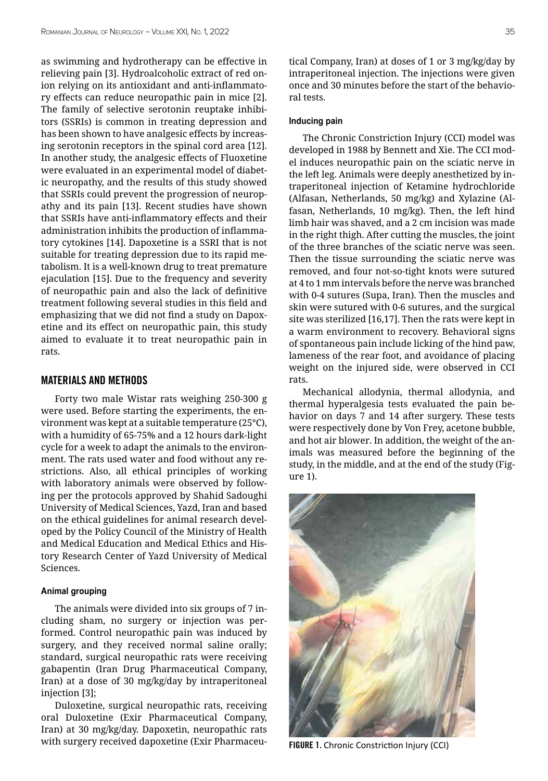as swimming and hydrotherapy can be effective in relieving pain [3]. Hydroalcoholic extract of red onion relying on its antioxidant and anti-inflammatory effects can reduce neuropathic pain in mice [2]. The family of selective serotonin reuptake inhibitors (SSRIs) is common in treating depression and has been shown to have analgesic effects by increasing serotonin receptors in the spinal cord area [12]. In another study, the analgesic effects of Fluoxetine were evaluated in an experimental model of diabetic neuropathy, and the results of this study showed that SSRIs could prevent the progression of neuropathy and its pain [13]. Recent studies have shown that SSRIs have anti-inflammatory effects and their administration inhibits the production of inflammatory cytokines [14]. Dapoxetine is a SSRI that is not suitable for treating depression due to its rapid metabolism. It is a well-known drug to treat premature ejaculation [15]. Due to the frequency and severity of neuropathic pain and also the lack of definitive treatment following several studies in this field and emphasizing that we did not find a study on Dapoxetine and its effect on neuropathic pain, this study aimed to evaluate it to treat neuropathic pain in rats.

#### Materials and Methods

Forty two male Wistar rats weighing 250-300 g were used. Before starting the experiments, the environment was kept at a suitable temperature (25°C), with a humidity of 65-75% and a 12 hours dark-light cycle for a week to adapt the animals to the environment. The rats used water and food without any restrictions. Also, all ethical principles of working with laboratory animals were observed by following per the protocols approved by Shahid Sadoughi University of Medical Sciences, Yazd, Iran and based on the ethical guidelines for animal research developed by the Policy Council of the Ministry of Health and Medical Education and Medical Ethics and History Research Center of Yazd University of Medical Sciences.

#### **Animal grouping**

The animals were divided into six groups of 7 including sham, no surgery or injection was performed. Control neuropathic pain was induced by surgery, and they received normal saline orally; standard, surgical neuropathic rats were receiving gabapentin (Iran Drug Pharmaceutical Company, Iran) at a dose of 30 mg/kg/day by intraperitoneal injection [3];

Duloxetine, surgical neuropathic rats, receiving oral Duloxetine (Exir Pharmaceutical Company, Iran) at 30 mg/kg/day. Dapoxetin, neuropathic rats with surgery received dapoxetine (Exir Pharmaceutical Company, Iran) at doses of 1 or 3 mg/kg/day by intraperitoneal injection. The injections were given once and 30 minutes before the start of the behavioral tests.

#### **Inducing pain**

The Chronic Constriction Injury (CCI) model was developed in 1988 by Bennett and Xie. The CCI model induces neuropathic pain on the sciatic nerve in the left leg. Animals were deeply anesthetized by intraperitoneal injection of Ketamine hydrochloride (Alfasan, Netherlands, 50 mg/kg) and Xylazine (Alfasan, Netherlands, 10 mg/kg). Then, the left hind limb hair was shaved, and a 2 cm incision was made in the right thigh. After cutting the muscles, the joint of the three branches of the sciatic nerve was seen. Then the tissue surrounding the sciatic nerve was removed, and four not-so-tight knots were sutured at 4 to 1 mm intervals before the nerve was branched with 0-4 sutures (Supa, Iran). Then the muscles and skin were sutured with 0-6 sutures, and the surgical site was sterilized [16,17]. Then the rats were kept in a warm environment to recovery. Behavioral signs of spontaneous pain include licking of the hind paw, lameness of the rear foot, and avoidance of placing weight on the injured side, were observed in CCI rats.

Mechanical allodynia, thermal allodynia, and thermal hyperalgesia tests evaluated the pain behavior on days 7 and 14 after surgery. These tests were respectively done by Von Frey, acetone bubble, and hot air blower. In addition, the weight of the animals was measured before the beginning of the study, in the middle, and at the end of the study (Figure 1).



FIGURE 1. Chronic Constriction Injury (CCI)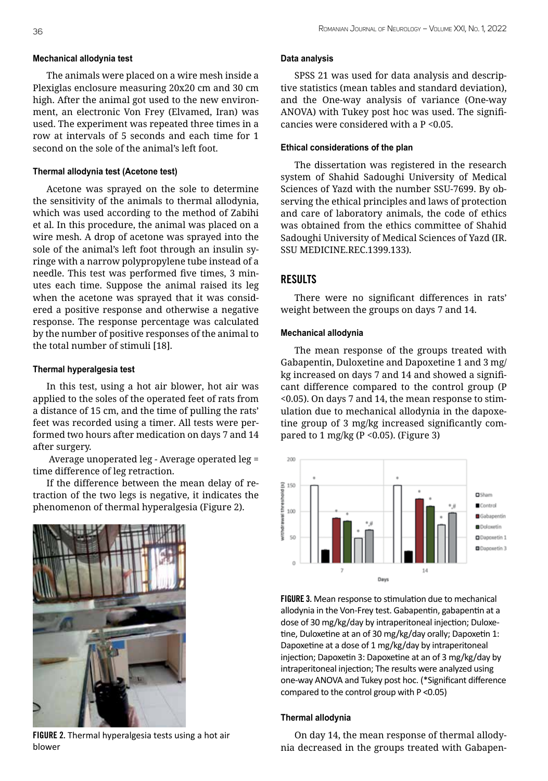#### **Mechanical allodynia test**

The animals were placed on a wire mesh inside a Plexiglas enclosure measuring 20x20 cm and 30 cm high. After the animal got used to the new environment, an electronic Von Frey (Elvamed, Iran) was used. The experiment was repeated three times in a row at intervals of 5 seconds and each time for 1 second on the sole of the animal's left foot.

#### **Thermal allodynia test (Acetone test)**

Acetone was sprayed on the sole to determine the sensitivity of the animals to thermal allodynia, which was used according to the method of Zabihi et al. In this procedure, the animal was placed on a wire mesh. A drop of acetone was sprayed into the sole of the animal's left foot through an insulin syringe with a narrow polypropylene tube instead of a needle. This test was performed five times, 3 minutes each time. Suppose the animal raised its leg when the acetone was sprayed that it was considered a positive response and otherwise a negative response. The response percentage was calculated by the number of positive responses of the animal to the total number of stimuli [18].

#### **Thermal hyperalgesia test**

In this test, using a hot air blower, hot air was applied to the soles of the operated feet of rats from a distance of 15 cm, and the time of pulling the rats' feet was recorded using a timer. All tests were performed two hours after medication on days 7 and 14 after surgery.

 Average unoperated leg - Average operated leg = time difference of leg retraction.

If the difference between the mean delay of retraction of the two legs is negative, it indicates the phenomenon of thermal hyperalgesia (Figure 2).



FIGURE 2. Thermal hyperalgesia tests using a hot air blower

#### **Data analysis**

SPSS 21 was used for data analysis and descriptive statistics (mean tables and standard deviation), and the One-way analysis of variance (One-way ANOVA) with Tukey post hoc was used. The significancies were considered with a P <0.05.

#### **Ethical considerations of the plan**

The dissertation was registered in the research system of Shahid Sadoughi University of Medical Sciences of Yazd with the number SSU-7699. By observing the ethical principles and laws of protection and care of laboratory animals, the code of ethics was obtained from the ethics committee of Shahid Sadoughi University of Medical Sciences of Yazd (IR. SSU MEDICINE.REC.1399.133).

## Results

There were no significant differences in rats' weight between the groups on days 7 and 14.

#### **Mechanical allodynia**

The mean response of the groups treated with Gabapentin, Duloxetine and Dapoxetine 1 and 3 mg/ kg increased on days 7 and 14 and showed a significant difference compared to the control group (P <0.05). On days 7 and 14, the mean response to stimulation due to mechanical allodynia in the dapoxetine group of 3 mg/kg increased significantly compared to 1 mg/kg (P < 0.05). (Figure 3)



FIGURE 3. Mean response to stimulation due to mechanical allodynia in the Von-Frey test. Gabapentin, gabapentin at a dose of 30 mg/kg/day by intraperitoneal injection; Duloxetine, Duloxetine at an of 30 mg/kg/day orally; Dapoxetin 1: Dapoxetine at a dose of 1 mg/kg/day by intraperitoneal injection; Dapoxetin 3: Dapoxetine at an of 3 mg/kg/day by intraperitoneal injection; The results were analyzed using one-way ANOVA and Tukey post hoc. (\*Significant difference compared to the control group with P <0.05)

#### **Thermal allodynia**

On day 14, the mean response of thermal allodynia decreased in the groups treated with Gabapen-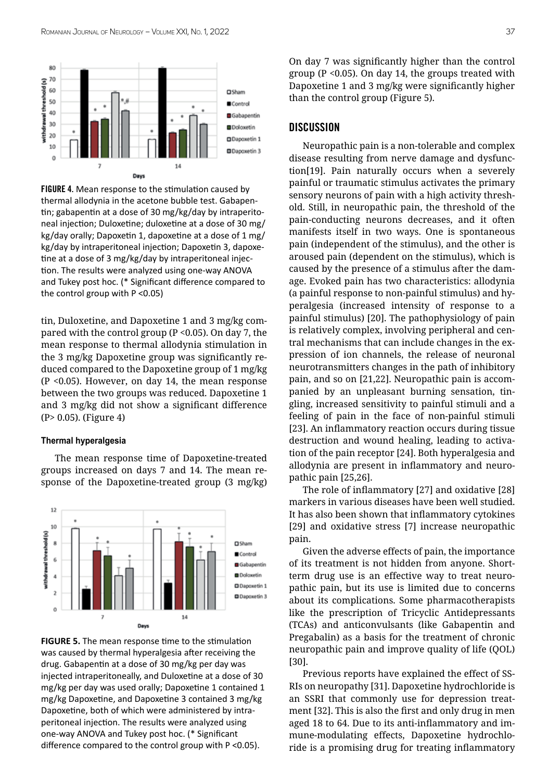

FIGURE 4. Mean response to the stimulation caused by thermal allodynia in the acetone bubble test. Gabapentin; gabapentin at a dose of 30 mg/kg/day by intraperitoneal injection; Duloxetine; duloxetine at a dose of 30 mg/ kg/day orally; Dapoxetin 1, dapoxetine at a dose of 1 mg/ kg/day by intraperitoneal injection; Dapoxetin 3, dapoxetine at a dose of 3 mg/kg/day by intraperitoneal injection. The results were analyzed using one-way ANOVA and Tukey post hoc. (\* Significant difference compared to the control group with P <0.05)

tin, Duloxetine, and Dapoxetine 1 and 3 mg/kg compared with the control group ( $P < 0.05$ ). On day 7, the mean response to thermal allodynia stimulation in the 3 mg/kg Dapoxetine group was significantly reduced compared to the Dapoxetine group of 1 mg/kg (P <0.05). However, on day 14, the mean response between the two groups was reduced. Dapoxetine 1 and 3 mg/kg did not show a significant difference (P> 0.05). (Figure 4)

#### **Thermal hyperalgesia**

The mean response time of Dapoxetine-treated groups increased on days 7 and 14. The mean response of the Dapoxetine-treated group (3 mg/kg)



**FIGURE 5.** The mean response time to the stimulation was caused by thermal hyperalgesia after receiving the drug. Gabapentin at a dose of 30 mg/kg per day was injected intraperitoneally, and Duloxetine at a dose of 30 mg/kg per day was used orally; Dapoxetine 1 contained 1 mg/kg Dapoxetine, and Dapoxetine 3 contained 3 mg/kg Dapoxetine, both of which were administered by intraperitoneal injection. The results were analyzed using one-way ANOVA and Tukey post hoc. (\* Significant difference compared to the control group with P <0.05).

On day 7 was significantly higher than the control group (P <0.05). On day 14, the groups treated with Dapoxetine 1 and 3 mg/kg were significantly higher than the control group (Figure 5).

#### **DISCUSSION**

Neuropathic pain is a non-tolerable and complex disease resulting from nerve damage and dysfunction[19]. Pain naturally occurs when a severely painful or traumatic stimulus activates the primary sensory neurons of pain with a high activity threshold. Still, in neuropathic pain, the threshold of the pain-conducting neurons decreases, and it often manifests itself in two ways. One is spontaneous pain (independent of the stimulus), and the other is aroused pain (dependent on the stimulus), which is caused by the presence of a stimulus after the damage. Evoked pain has two characteristics: allodynia (a painful response to non-painful stimulus) and hyperalgesia (increased intensity of response to a painful stimulus) [20]. The pathophysiology of pain is relatively complex, involving peripheral and central mechanisms that can include changes in the expression of ion channels, the release of neuronal neurotransmitters changes in the path of inhibitory pain, and so on [21,22]. Neuropathic pain is accompanied by an unpleasant burning sensation, tingling, increased sensitivity to painful stimuli and a feeling of pain in the face of non-painful stimuli [23]. An inflammatory reaction occurs during tissue destruction and wound healing, leading to activation of the pain receptor [24]. Both hyperalgesia and allodynia are present in inflammatory and neuropathic pain [25,26].

The role of inflammatory [27] and oxidative [28] markers in various diseases have been well studied. It has also been shown that inflammatory cytokines [29] and oxidative stress [7] increase neuropathic pain.

Given the adverse effects of pain, the importance of its treatment is not hidden from anyone. Shortterm drug use is an effective way to treat neuropathic pain, but its use is limited due to concerns about its complications. Some pharmacotherapists like the prescription of Tricyclic Antidepressants (TCAs) and anticonvulsants (like Gabapentin and Pregabalin) as a basis for the treatment of chronic neuropathic pain and improve quality of life (QOL) [30].

Previous reports have explained the effect of SS-RIs on neuropathy [31]. Dapoxetine hydrochloride is an SSRI that commonly use for depression treatment [32]. This is also the first and only drug in men aged 18 to 64. Due to its anti-inflammatory and immune-modulating effects, Dapoxetine hydrochloride is a promising drug for treating inflammatory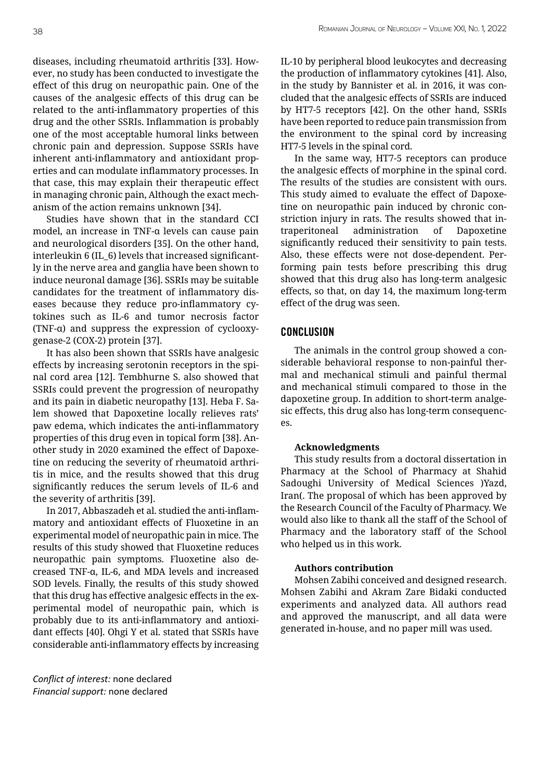diseases, including rheumatoid arthritis [33]. However, no study has been conducted to investigate the effect of this drug on neuropathic pain. One of the causes of the analgesic effects of this drug can be related to the anti-inflammatory properties of this drug and the other SSRIs. Inflammation is probably one of the most acceptable humoral links between chronic pain and depression. Suppose SSRIs have inherent anti-inflammatory and antioxidant properties and can modulate inflammatory processes. In that case, this may explain their therapeutic effect in managing chronic pain, Although the exact mechanism of the action remains unknown [34].

Studies have shown that in the standard CCI model, an increase in TNF-α levels can cause pain and neurological disorders [35]. On the other hand, interleukin 6 (IL\_6) levels that increased significantly in the nerve area and ganglia have been shown to induce neuronal damage [36]. SSRIs may be suitable candidates for the treatment of inflammatory diseases because they reduce pro-inflammatory cytokines such as IL-6 and tumor necrosis factor (TNF-α) and suppress the expression of cyclooxygenase-2 (COX-2) protein [37].

It has also been shown that SSRIs have analgesic effects by increasing serotonin receptors in the spinal cord area [12]. Tembhurne S. also showed that SSRIs could prevent the progression of neuropathy and its pain in diabetic neuropathy [13]. Heba F. Salem showed that Dapoxetine locally relieves rats' paw edema, which indicates the anti-inflammatory properties of this drug even in topical form [38]. Another study in 2020 examined the effect of Dapoxetine on reducing the severity of rheumatoid arthritis in mice, and the results showed that this drug significantly reduces the serum levels of IL-6 and the severity of arthritis [39].

In 2017, Abbaszadeh et al. studied the anti-inflammatory and antioxidant effects of Fluoxetine in an experimental model of neuropathic pain in mice. The results of this study showed that Fluoxetine reduces neuropathic pain symptoms. Fluoxetine also decreased TNF-α, IL-6, and MDA levels and increased SOD levels. Finally, the results of this study showed that this drug has effective analgesic effects in the experimental model of neuropathic pain, which is probably due to its anti-inflammatory and antioxidant effects [40]. Ohgi Y et al. stated that SSRIs have considerable anti-inflammatory effects by increasing

*Conflict of interest:* none declared *Financial support:* none declared

IL-10 by peripheral blood leukocytes and decreasing the production of inflammatory cytokines [41]. Also, in the study by Bannister et al. in 2016, it was concluded that the analgesic effects of SSRIs are induced by HT7-5 receptors [42]. On the other hand, SSRIs have been reported to reduce pain transmission from the environment to the spinal cord by increasing HT7-5 levels in the spinal cord.

In the same way, HT7-5 receptors can produce the analgesic effects of morphine in the spinal cord. The results of the studies are consistent with ours. This study aimed to evaluate the effect of Dapoxetine on neuropathic pain induced by chronic constriction injury in rats. The results showed that intraperitoneal administration of Dapoxetine significantly reduced their sensitivity to pain tests. Also, these effects were not dose-dependent. Performing pain tests before prescribing this drug showed that this drug also has long-term analgesic effects, so that, on day 14, the maximum long-term effect of the drug was seen.

### **CONCLUSION**

The animals in the control group showed a considerable behavioral response to non-painful thermal and mechanical stimuli and painful thermal and mechanical stimuli compared to those in the dapoxetine group. In addition to short-term analgesic effects, this drug also has long-term consequences.

#### **Acknowledgments**

This study results from a doctoral dissertation in Pharmacy at the School of Pharmacy at Shahid Sadoughi University of Medical Sciences )Yazd, Iran(. The proposal of which has been approved by the Research Council of the Faculty of Pharmacy. We would also like to thank all the staff of the School of Pharmacy and the laboratory staff of the School who helped us in this work.

#### **Authors contribution**

Mohsen Zabihi conceived and designed research. Mohsen Zabihi and Akram Zare Bidaki conducted experiments and analyzed data. All authors read and approved the manuscript, and all data were generated in-house, and no paper mill was used.